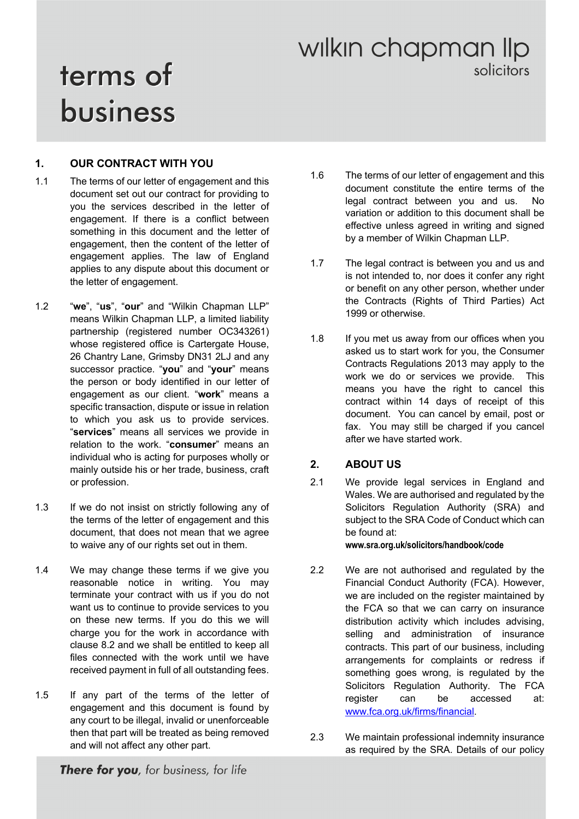# wilkin chapman lip solicitors

# terms of business

#### **1. OUR CONTRACT WITH YOU**

- 1.1 The terms of our letter of engagement and this document set out our contract for providing to you the services described in the letter of engagement. If there is a conflict between something in this document and the letter of engagement, then the content of the letter of engagement applies. The law of England applies to any dispute about this document or the letter of engagement.
- 1.2 "**we**", "**us**", "**our**" and "Wilkin Chapman LLP" means Wilkin Chapman LLP, a limited liability partnership (registered number OC343261) whose registered office is Cartergate House, 26 Chantry Lane, Grimsby DN31 2LJ and any successor practice. "**you**" and "**your**" means the person or body identified in our letter of engagement as our client. "**work**" means a specific transaction, dispute or issue in relation to which you ask us to provide services. "**services**" means all services we provide in relation to the work. "**consumer**" means an individual who is acting for purposes wholly or mainly outside his or her trade, business, craft or profession.
- 1.3 If we do not insist on strictly following any of the terms of the letter of engagement and this document, that does not mean that we agree to waive any of our rights set out in them.
- 1.4 We may change these terms if we give you reasonable notice in writing. You may terminate your contract with us if you do not want us to continue to provide services to you on these new terms. If you do this we will charge you for the work in accordance with clause 8.2 and we shall be entitled to keep all files connected with the work until we have received payment in full of all outstanding fees.
- 1.5 If any part of the terms of the letter of engagement and this document is found by any court to be illegal, invalid or unenforceable then that part will be treated as being removed and will not affect any other part.
- 1.6 The terms of our letter of engagement and this document constitute the entire terms of the legal contract between you and us. No variation or addition to this document shall be effective unless agreed in writing and signed by a member of Wilkin Chapman LLP.
- 1.7 The legal contract is between you and us and is not intended to, nor does it confer any right or benefit on any other person, whether under the Contracts (Rights of Third Parties) Act 1999 or otherwise.
- 1.8 If you met us away from our offices when you asked us to start work for you, the Consumer Contracts Regulations 2013 may apply to the work we do or services we provide. This means you have the right to cancel this contract within 14 days of receipt of this document. You can cancel by email, post or fax. You may still be charged if you cancel after we have started work.

#### **2. ABOUT US**

2.1 We provide legal services in England and Wales. We are authorised and regulated by the Solicitors Regulation Authority (SRA) and subject to the SRA Code of Conduct which can be found at:

#### **www.sra.org.uk/solicitors/handbook/code**

- 2.2 We are not authorised and regulated by the Financial Conduct Authority (FCA). However, we are included on the register maintained by the FCA so that we can carry on insurance distribution activity which includes advising, selling and administration of insurance contracts. This part of our business, including arrangements for complaints or redress if something goes wrong, is regulated by the Solicitors Regulation Authority. The FCA register can be accessed at: www.fca.org.uk/firms/financial.
- 2.3 We maintain professional indemnity insurance as required by the SRA. Details of our policy

There for you, for business, for life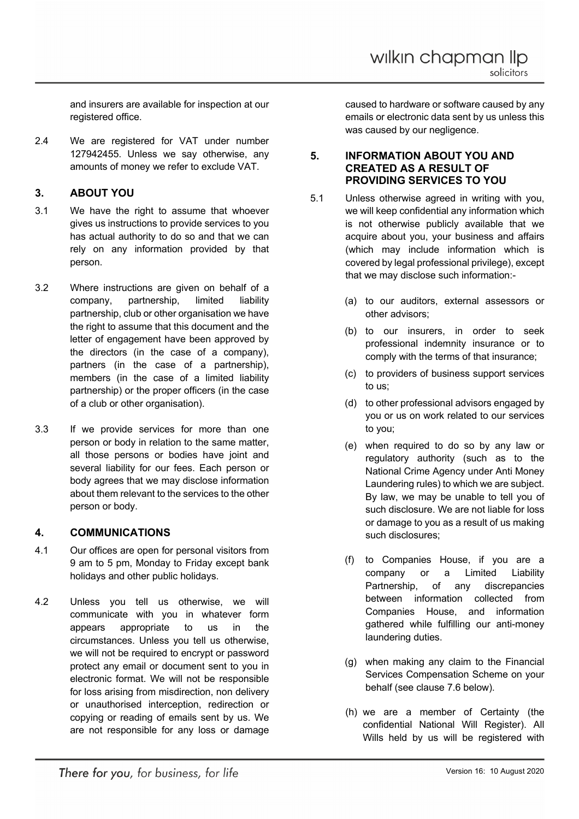and insurers are available for inspection at our registered office.

2.4 We are registered for VAT under number 127942455. Unless we say otherwise, any amounts of money we refer to exclude VAT.

#### **3. ABOUT YOU**

- 3.1 We have the right to assume that whoever gives us instructions to provide services to you has actual authority to do so and that we can rely on any information provided by that person.
- 3.2 Where instructions are given on behalf of a company, partnership, limited liability partnership, club or other organisation we have the right to assume that this document and the letter of engagement have been approved by the directors (in the case of a company), partners (in the case of a partnership), members (in the case of a limited liability partnership) or the proper officers (in the case of a club or other organisation).
- 3.3 If we provide services for more than one person or body in relation to the same matter, all those persons or bodies have joint and several liability for our fees. Each person or body agrees that we may disclose information about them relevant to the services to the other person or body.

#### **4. COMMUNICATIONS**

- 4.1 Our offices are open for personal visitors from 9 am to 5 pm, Monday to Friday except bank holidays and other public holidays.
- 4.2 Unless you tell us otherwise, we will communicate with you in whatever form appears appropriate to us in the circumstances. Unless you tell us otherwise, we will not be required to encrypt or password protect any email or document sent to you in electronic format. We will not be responsible for loss arising from misdirection, non delivery or unauthorised interception, redirection or copying or reading of emails sent by us. We are not responsible for any loss or damage

caused to hardware or software caused by any emails or electronic data sent by us unless this was caused by our negligence.

#### **5. INFORMATION ABOUT YOU AND CREATED AS A RESULT OF PROVIDING SERVICES TO YOU**

- 5.1 Unless otherwise agreed in writing with you, we will keep confidential any information which is not otherwise publicly available that we acquire about you, your business and affairs (which may include information which is covered by legal professional privilege), except that we may disclose such information:-
	- (a) to our auditors, external assessors or other advisors;
	- (b) to our insurers, in order to seek professional indemnity insurance or to comply with the terms of that insurance;
	- (c) to providers of business support services to us;
	- (d) to other professional advisors engaged by you or us on work related to our services to you;
	- (e) when required to do so by any law or regulatory authority (such as to the National Crime Agency under Anti Money Laundering rules) to which we are subject. By law, we may be unable to tell you of such disclosure. We are not liable for loss or damage to you as a result of us making such disclosures;
	- (f) to Companies House, if you are a company or a Limited Liability Partnership, of any discrepancies between information collected from Companies House, and information gathered while fulfilling our anti-money laundering duties.
	- (g) when making any claim to the Financial Services Compensation Scheme on your behalf (see clause 7.6 below).
	- (h) we are a member of Certainty (the confidential National Will Register). All Wills held by us will be registered with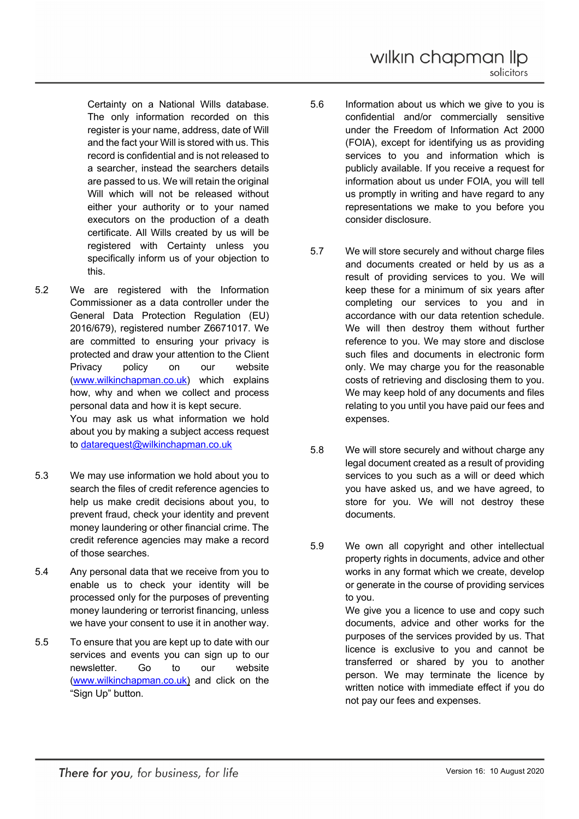Certainty on a National Wills database. The only information recorded on this register is your name, address, date of Will and the fact your Will is stored with us. This record is confidential and is not released to a searcher, instead the searchers details are passed to us. We will retain the original Will which will not be released without either your authority or to your named executors on the production of a death certificate. All Wills created by us will be registered with Certainty unless you specifically inform us of your objection to this.

- 5.2 We are registered with the Information Commissioner as a data controller under the General Data Protection Regulation (EU) 2016/679), registered number Z6671017. We are committed to ensuring your privacy is protected and draw your attention to the Client Privacy policy on our website (www.wilkinchapman.co.uk) which explains how, why and when we collect and process personal data and how it is kept secure. You may ask us what information we hold about you by making a subject access request to datarequest@wilkinchapman.co.uk
- 5.3 We may use information we hold about you to search the files of credit reference agencies to help us make credit decisions about you, to prevent fraud, check your identity and prevent money laundering or other financial crime. The credit reference agencies may make a record of those searches.
- 5.4 Any personal data that we receive from you to enable us to check your identity will be processed only for the purposes of preventing money laundering or terrorist financing, unless we have your consent to use it in another way.
- 5.5 To ensure that you are kept up to date with our services and events you can sign up to our newsletter. Go to our website (www.wilkinchapman.co.uk) and click on the "Sign Up" button.
- 5.6 Information about us which we give to you is confidential and/or commercially sensitive under the Freedom of Information Act 2000 (FOIA), except for identifying us as providing services to you and information which is publicly available. If you receive a request for information about us under FOIA, you will tell us promptly in writing and have regard to any representations we make to you before you consider disclosure.
- 5.7 We will store securely and without charge files and documents created or held by us as a result of providing services to you. We will keep these for a minimum of six years after completing our services to you and in accordance with our data retention schedule. We will then destroy them without further reference to you. We may store and disclose such files and documents in electronic form only. We may charge you for the reasonable costs of retrieving and disclosing them to you. We may keep hold of any documents and files relating to you until you have paid our fees and expenses.
- 5.8 We will store securely and without charge any legal document created as a result of providing services to you such as a will or deed which you have asked us, and we have agreed, to store for you. We will not destroy these documents.
- 5.9 We own all copyright and other intellectual property rights in documents, advice and other works in any format which we create, develop or generate in the course of providing services to you. We give you a licence to use and copy such documents, advice and other works for the purposes of the services provided by us. That licence is exclusive to you and cannot be transferred or shared by you to another person. We may terminate the licence by written notice with immediate effect if you do not pay our fees and expenses.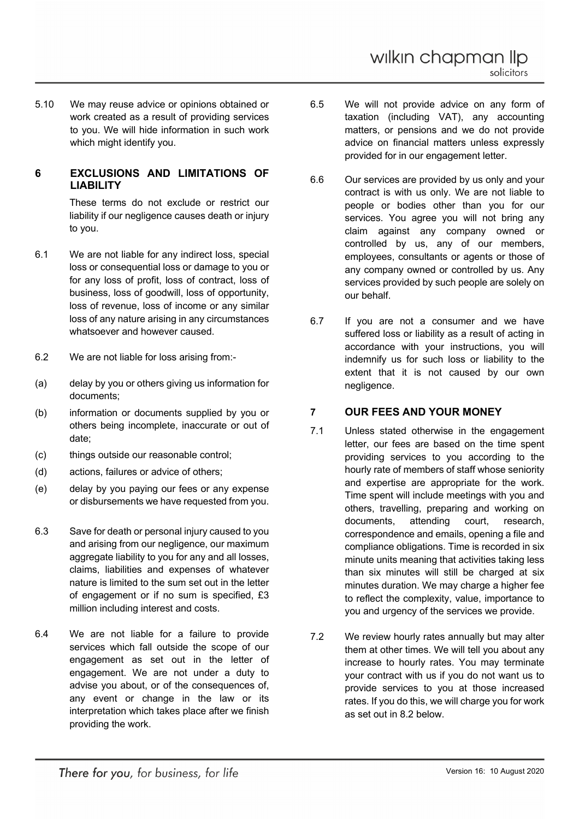5.10 We may reuse advice or opinions obtained or work created as a result of providing services to you. We will hide information in such work which might identify you.

#### **6 EXCLUSIONS AND LIMITATIONS OF LIABILITY**

These terms do not exclude or restrict our liability if our negligence causes death or injury to you.

- 6.1 We are not liable for any indirect loss, special loss or consequential loss or damage to you or for any loss of profit, loss of contract, loss of business, loss of goodwill, loss of opportunity, loss of revenue, loss of income or any similar loss of any nature arising in any circumstances whatsoever and however caused.
- 6.2 We are not liable for loss arising from:-
- (a) delay by you or others giving us information for documents;
- (b) information or documents supplied by you or others being incomplete, inaccurate or out of date;
- (c) things outside our reasonable control;
- (d) actions, failures or advice of others;
- (e) delay by you paying our fees or any expense or disbursements we have requested from you.
- 6.3 Save for death or personal injury caused to you and arising from our negligence, our maximum aggregate liability to you for any and all losses, claims, liabilities and expenses of whatever nature is limited to the sum set out in the letter of engagement or if no sum is specified, £3 million including interest and costs.
- 6.4 We are not liable for a failure to provide services which fall outside the scope of our engagement as set out in the letter of engagement. We are not under a duty to advise you about, or of the consequences of, any event or change in the law or its interpretation which takes place after we finish providing the work.
- 6.5 We will not provide advice on any form of taxation (including VAT), any accounting matters, or pensions and we do not provide advice on financial matters unless expressly provided for in our engagement letter.
- 6.6 Our services are provided by us only and your contract is with us only. We are not liable to people or bodies other than you for our services. You agree you will not bring any claim against any company owned or controlled by us, any of our members, employees, consultants or agents or those of any company owned or controlled by us. Any services provided by such people are solely on our behalf.
- 6.7 If you are not a consumer and we have suffered loss or liability as a result of acting in accordance with your instructions, you will indemnify us for such loss or liability to the extent that it is not caused by our own negligence.

#### **7 OUR FEES AND YOUR MONEY**

- 7.1 Unless stated otherwise in the engagement letter, our fees are based on the time spent providing services to you according to the hourly rate of members of staff whose seniority and expertise are appropriate for the work. Time spent will include meetings with you and others, travelling, preparing and working on documents, attending court, research, correspondence and emails, opening a file and compliance obligations. Time is recorded in six minute units meaning that activities taking less than six minutes will still be charged at six minutes duration. We may charge a higher fee to reflect the complexity, value, importance to you and urgency of the services we provide.
- 7.2 We review hourly rates annually but may alter them at other times. We will tell you about any increase to hourly rates. You may terminate your contract with us if you do not want us to provide services to you at those increased rates. If you do this, we will charge you for work as set out in 8.2 below.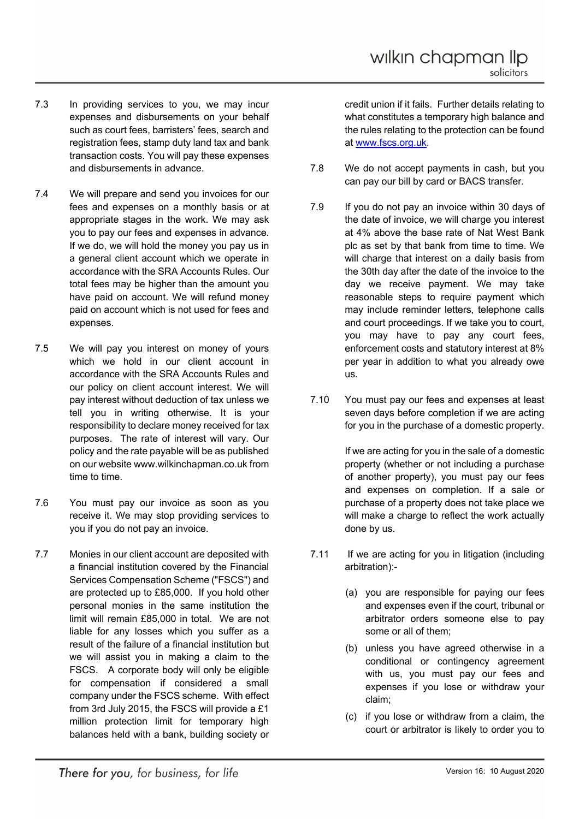- 7.3 In providing services to you, we may incur expenses and disbursements on your behalf such as court fees, barristers' fees, search and registration fees, stamp duty land tax and bank transaction costs. You will pay these expenses and disbursements in advance.
- 7.4 We will prepare and send you invoices for our fees and expenses on a monthly basis or at appropriate stages in the work. We may ask you to pay our fees and expenses in advance. If we do, we will hold the money you pay us in a general client account which we operate in accordance with the SRA Accounts Rules. Our total fees may be higher than the amount you have paid on account. We will refund money paid on account which is not used for fees and expenses.
- 7.5 We will pay you interest on money of yours which we hold in our client account in accordance with the SRA Accounts Rules and our policy on client account interest. We will pay interest without deduction of tax unless we tell you in writing otherwise. It is your responsibility to declare money received for tax purposes. The rate of interest will vary. Our policy and the rate payable will be as published on our website www.wilkinchapman.co.uk from time to time.
- 7.6 You must pay our invoice as soon as you receive it. We may stop providing services to you if you do not pay an invoice.
- 7.7 Monies in our client account are deposited with a financial institution covered by the Financial Services Compensation Scheme ("FSCS") and are protected up to £85,000. If you hold other personal monies in the same institution the limit will remain £85,000 in total. We are not liable for any losses which you suffer as a result of the failure of a financial institution but we will assist you in making a claim to the FSCS. A corporate body will only be eligible for compensation if considered a small company under the FSCS scheme. With effect from 3rd July 2015, the FSCS will provide a £1 million protection limit for temporary high balances held with a bank, building society or

credit union if it fails. Further details relating to what constitutes a temporary high balance and the rules relating to the protection can be found at www.fscs.org.uk.

- 7.8 We do not accept payments in cash, but you can pay our bill by card or BACS transfer.
- 7.9 If you do not pay an invoice within 30 days of the date of invoice, we will charge you interest at 4% above the base rate of Nat West Bank plc as set by that bank from time to time. We will charge that interest on a daily basis from the 30th day after the date of the invoice to the day we receive payment. We may take reasonable steps to require payment which may include reminder letters, telephone calls and court proceedings. If we take you to court, you may have to pay any court fees, enforcement costs and statutory interest at 8% per year in addition to what you already owe us.
- 7.10 You must pay our fees and expenses at least seven days before completion if we are acting for you in the purchase of a domestic property.

If we are acting for you in the sale of a domestic property (whether or not including a purchase of another property), you must pay our fees and expenses on completion. If a sale or purchase of a property does not take place we will make a charge to reflect the work actually done by us.

- 7.11 If we are acting for you in litigation (including arbitration):-
	- (a) you are responsible for paying our fees and expenses even if the court, tribunal or arbitrator orders someone else to pay some or all of them;
	- (b) unless you have agreed otherwise in a conditional or contingency agreement with us, you must pay our fees and expenses if you lose or withdraw your claim;
	- (c) if you lose or withdraw from a claim, the court or arbitrator is likely to order you to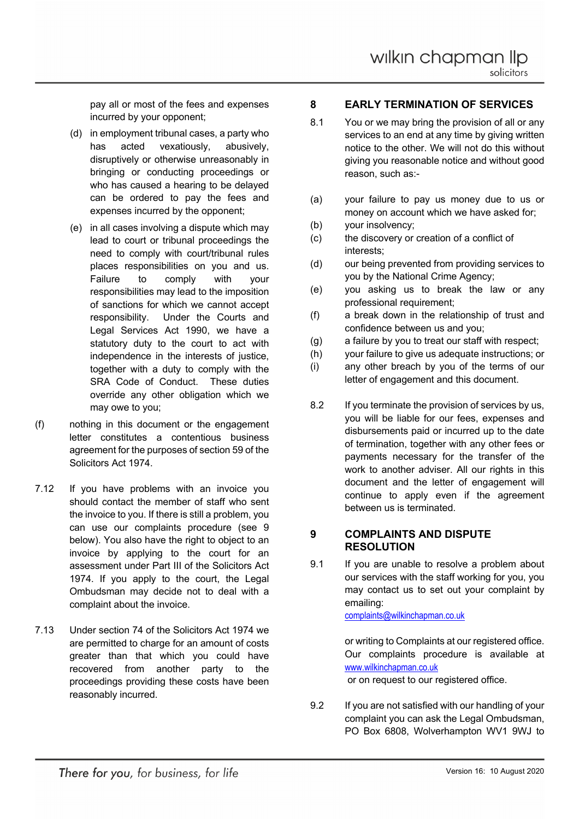pay all or most of the fees and expenses incurred by your opponent;

- (d) in employment tribunal cases, a party who has acted vexatiously, abusively, disruptively or otherwise unreasonably in bringing or conducting proceedings or who has caused a hearing to be delayed can be ordered to pay the fees and expenses incurred by the opponent;
- (e) in all cases involving a dispute which may lead to court or tribunal proceedings the need to comply with court/tribunal rules places responsibilities on you and us. Failure to comply with your responsibilities may lead to the imposition of sanctions for which we cannot accept responsibility. Under the Courts and Legal Services Act 1990, we have a statutory duty to the court to act with independence in the interests of justice, together with a duty to comply with the SRA Code of Conduct. These duties override any other obligation which we may owe to you;
- (f) nothing in this document or the engagement letter constitutes a contentious business agreement for the purposes of section 59 of the Solicitors Act 1974.
- 7.12 If you have problems with an invoice you should contact the member of staff who sent the invoice to you. If there is still a problem, you can use our complaints procedure (see 9 below). You also have the right to object to an invoice by applying to the court for an assessment under Part III of the Solicitors Act 1974. If you apply to the court, the Legal Ombudsman may decide not to deal with a complaint about the invoice.
- 7.13 Under section 74 of the Solicitors Act 1974 we are permitted to charge for an amount of costs greater than that which you could have recovered from another party to the proceedings providing these costs have been reasonably incurred.

#### **8 EARLY TERMINATION OF SERVICES**

- 8.1 You or we may bring the provision of all or any services to an end at any time by giving written notice to the other. We will not do this without giving you reasonable notice and without good reason, such as:-
- (a) your failure to pay us money due to us or money on account which we have asked for;
- (b) your insolvency;
- (c) the discovery or creation of a conflict of interests;
- (d) our being prevented from providing services to you by the National Crime Agency;
- (e) you asking us to break the law or any professional requirement;
- (f) a break down in the relationship of trust and confidence between us and you;
- (g) a failure by you to treat our staff with respect;
- (h) your failure to give us adequate instructions; or
- (i) any other breach by you of the terms of our letter of engagement and this document.
- 8.2 If you terminate the provision of services by us, you will be liable for our fees, expenses and disbursements paid or incurred up to the date of termination, together with any other fees or payments necessary for the transfer of the work to another adviser. All our rights in this document and the letter of engagement will continue to apply even if the agreement between us is terminated.

#### **9 COMPLAINTS AND DISPUTE RESOLUTION**

9.1 If you are unable to resolve a problem about our services with the staff working for you, you may contact us to set out your complaint by emailing:

complaints@wilkinchapman.co.uk

or writing to Complaints at our registered office. Our complaints procedure is available at www.wilkinchapman.co.uk

or on request to our registered office.

9.2 If you are not satisfied with our handling of your complaint you can ask the Legal Ombudsman, PO Box 6808, Wolverhampton WV1 9WJ to